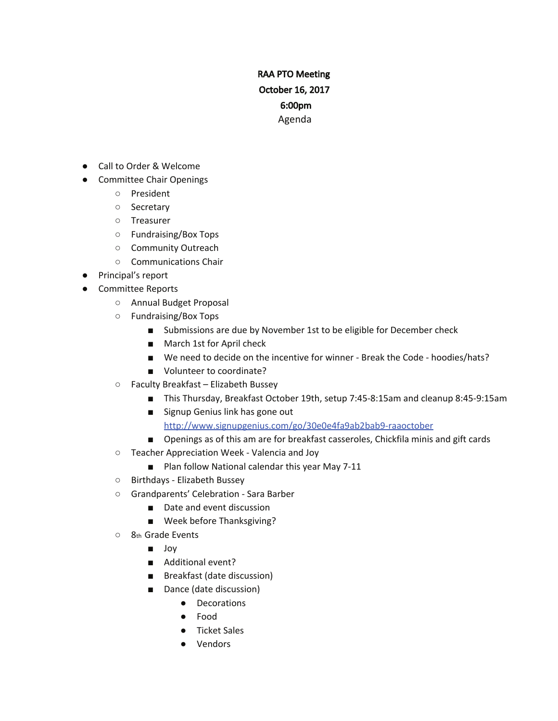# RAA PTO Meeting October 16, 2017 6:00pm Agenda

- Call to Order & Welcome
- Committee Chair Openings
	- President
	- Secretary
	- Treasurer
	- Fundraising/Box Tops
	- Community Outreach
	- Communications Chair
- Principal's report
- Committee Reports
	- Annual Budget Proposal
	- Fundraising/Box Tops
		- Submissions are due by November 1st to be eligible for December check
		- March 1st for April check
		- We need to decide on the incentive for winner Break the Code hoodies/hats?
		- Volunteer to coordinate?
	- Faculty Breakfast Elizabeth Bussey
		- This Thursday, Breakfast October 19th, setup 7:45-8:15am and cleanup 8:45-9:15am
		- Signup Genius link has gone out

http://www.signupgenius.com/go/30e0e4fa9ab2bab9-raaoctober

- Openings as of this am are for breakfast casseroles, Chickfila minis and gift cards
- Teacher Appreciation Week Valencia and Joy
	- Plan follow National calendar this year May 7-11
- Birthdays Elizabeth Bussey
- Grandparents' Celebration Sara Barber
	- Date and event discussion
	- Week before Thanksgiving?
- 8th Grade Events
	- Joy
	- Additional event?
	- Breakfast (date discussion)
	- Dance (date discussion)
		- Decorations
		- Food
		- Ticket Sales
		- Vendors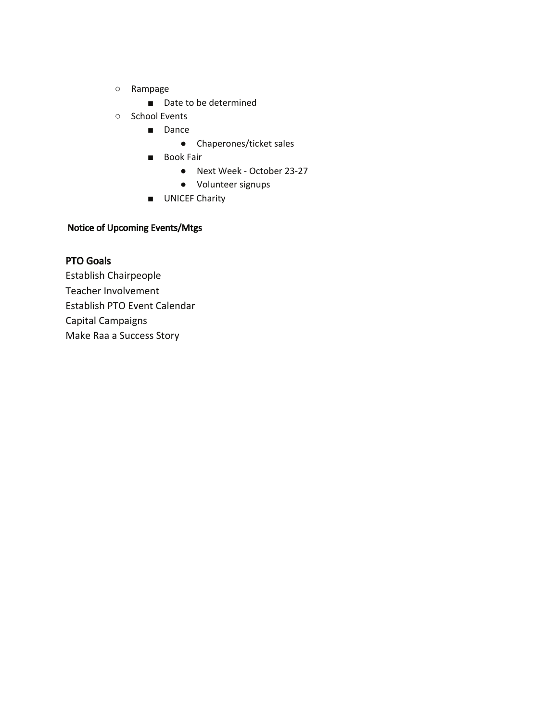- Rampage
	- Date to be determined
- School Events
	- Dance
		- Chaperones/ticket sales
	- Book Fair
		- Next Week October 23-27
		- Volunteer signups
	- UNICEF Charity

### Notice of Upcoming Events/Mtgs

#### PTO Goals

Establish Chairpeople Teacher Involvement Establish PTO Event Calendar Capital Campaigns Make Raa a Success Story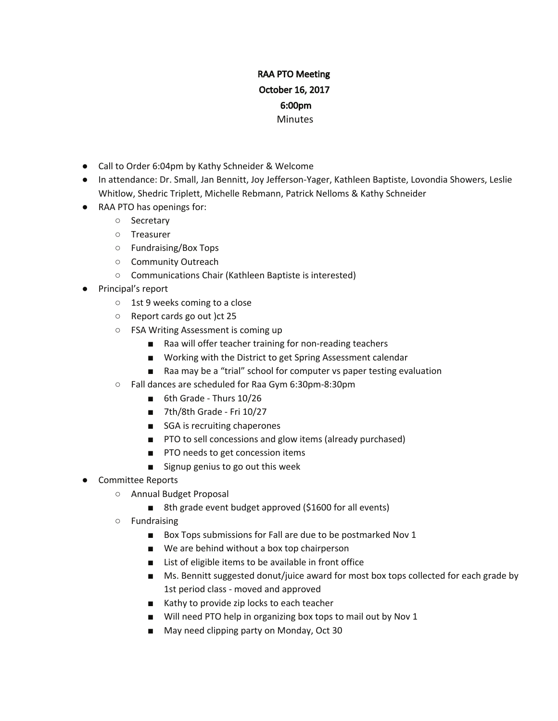## RAA PTO Meeting October 16, 2017 6:00pm **Minutes**

- Call to Order 6:04pm by Kathy Schneider & Welcome
- In attendance: Dr. Small, Jan Bennitt, Joy Jefferson-Yager, Kathleen Baptiste, Lovondia Showers, Leslie Whitlow, Shedric Triplett, Michelle Rebmann, Patrick Nelloms & Kathy Schneider
- RAA PTO has openings for:
	- Secretary
	- Treasurer
	- Fundraising/Box Tops
	- Community Outreach
	- Communications Chair (Kathleen Baptiste is interested)
- Principal's report
	- 1st 9 weeks coming to a close
	- Report cards go out )ct 25
	- FSA Writing Assessment is coming up
		- Raa will offer teacher training for non-reading teachers
		- Working with the District to get Spring Assessment calendar
		- Raa may be a "trial" school for computer vs paper testing evaluation
	- Fall dances are scheduled for Raa Gym 6:30pm-8:30pm
		- 6th Grade Thurs 10/26
		- 7th/8th Grade Fri 10/27
		- SGA is recruiting chaperones
		- PTO to sell concessions and glow items (already purchased)
		- PTO needs to get concession items
		- Signup genius to go out this week
- Committee Reports
	- Annual Budget Proposal
		- 8th grade event budget approved (\$1600 for all events)
	- Fundraising
		- Box Tops submissions for Fall are due to be postmarked Nov 1
		- We are behind without a box top chairperson
		- List of eligible items to be available in front office
		- Ms. Bennitt suggested donut/juice award for most box tops collected for each grade by 1st period class - moved and approved
		- Kathy to provide zip locks to each teacher
		- Will need PTO help in organizing box tops to mail out by Nov 1
		- May need clipping party on Monday, Oct 30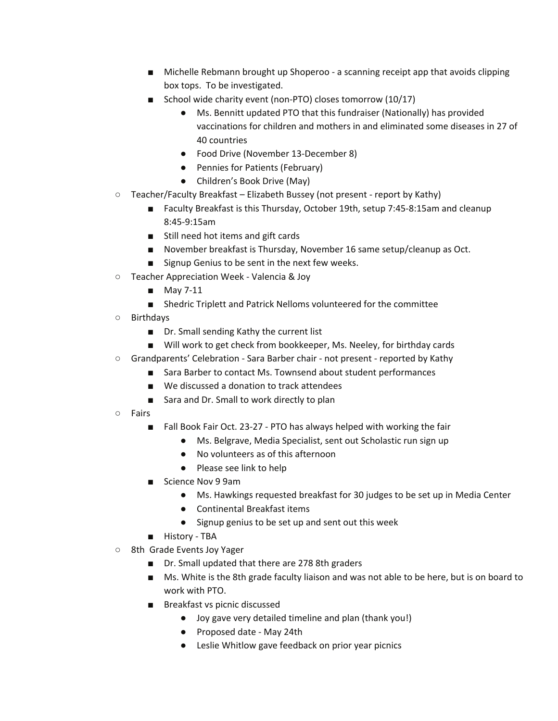- Michelle Rebmann brought up Shoperoo a scanning receipt app that avoids clipping box tops. To be investigated.
- School wide charity event (non-PTO) closes tomorrow (10/17)
	- Ms. Bennitt updated PTO that this fundraiser (Nationally) has provided vaccinations for children and mothers in and eliminated some diseases in 27 of 40 countries
	- Food Drive (November 13-December 8)
	- Pennies for Patients (February)
	- Children's Book Drive (May)
- Teacher/Faculty Breakfast Elizabeth Bussey (not present report by Kathy)
	- Faculty Breakfast is this Thursday, October 19th, setup 7:45-8:15am and cleanup 8:45-9:15am
	- Still need hot items and gift cards
	- November breakfast is Thursday, November 16 same setup/cleanup as Oct.
	- Signup Genius to be sent in the next few weeks.
- Teacher Appreciation Week Valencia & Joy
	- May 7-11
	- Shedric Triplett and Patrick Nelloms volunteered for the committee
- Birthdays
	- Dr. Small sending Kathy the current list
	- Will work to get check from bookkeeper, Ms. Neeley, for birthday cards
- Grandparents' Celebration Sara Barber chair not present reported by Kathy
	- Sara Barber to contact Ms. Townsend about student performances
		- We discussed a donation to track attendees
		- Sara and Dr. Small to work directly to plan
- Fairs
	- Fall Book Fair Oct. 23-27 PTO has always helped with working the fair
		- Ms. Belgrave, Media Specialist, sent out Scholastic run sign up
		- No volunteers as of this afternoon
		- Please see link to help
	- Science Nov 9 9am
		- Ms. Hawkings requested breakfast for 30 judges to be set up in Media Center
		- Continental Breakfast items
		- Signup genius to be set up and sent out this week
	- History TBA
- 8th Grade Events Joy Yager
	- Dr. Small updated that there are 278 8th graders
	- Ms. White is the 8th grade faculty liaison and was not able to be here, but is on board to work with PTO.
	- Breakfast vs picnic discussed
		- Joy gave very detailed timeline and plan (thank you!)
		- Proposed date May 24th
		- Leslie Whitlow gave feedback on prior year picnics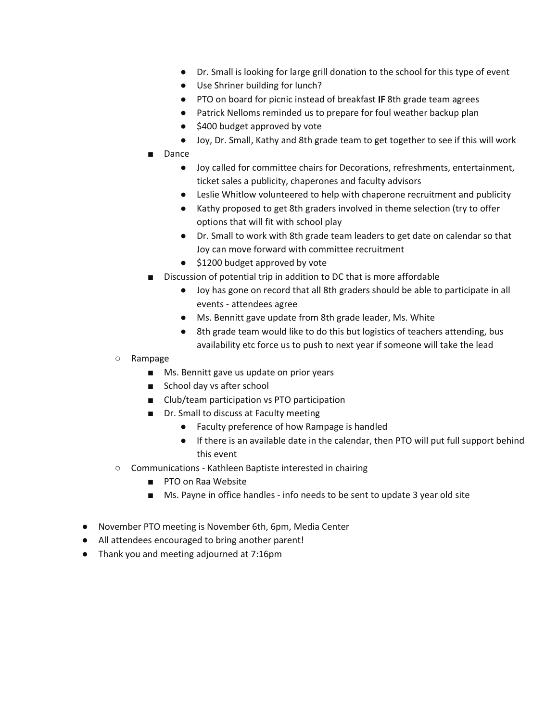- Dr. Small is looking for large grill donation to the school for this type of event
- Use Shriner building for lunch?
- PTO on board for picnic instead of breakfast IF 8th grade team agrees
- Patrick Nelloms reminded us to prepare for foul weather backup plan
- \$400 budget approved by vote
- Joy, Dr. Small, Kathy and 8th grade team to get together to see if this will work
- Dance
	- Joy called for committee chairs for Decorations, refreshments, entertainment, ticket sales a publicity, chaperones and faculty advisors
	- Leslie Whitlow volunteered to help with chaperone recruitment and publicity
	- Kathy proposed to get 8th graders involved in theme selection (try to offer options that will fit with school play
	- Dr. Small to work with 8th grade team leaders to get date on calendar so that Joy can move forward with committee recruitment
	- \$1200 budget approved by vote
- Discussion of potential trip in addition to DC that is more affordable
	- Joy has gone on record that all 8th graders should be able to participate in all events - attendees agree
	- Ms. Bennitt gave update from 8th grade leader, Ms. White
	- 8th grade team would like to do this but logistics of teachers attending, bus availability etc force us to push to next year if someone will take the lead
- Rampage
	- Ms. Bennitt gave us update on prior years
	- School day vs after school
	- Club/team participation vs PTO participation
	- Dr. Small to discuss at Faculty meeting
		- Faculty preference of how Rampage is handled
		- If there is an available date in the calendar, then PTO will put full support behind this event
- Communications Kathleen Baptiste interested in chairing
	- PTO on Raa Website
	- Ms. Payne in office handles info needs to be sent to update 3 year old site
- November PTO meeting is November 6th, 6pm, Media Center
- All attendees encouraged to bring another parent!
- Thank you and meeting adjourned at 7:16pm